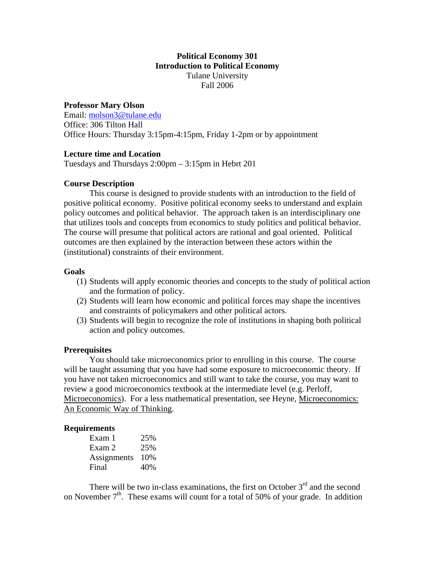# **Political Economy 301 Introduction to Political Economy**  Tulane University Fall 2006

## **Professor Mary Olson**

Email: [molson3@tulane.edu](mailto:molson3@tulane.edu) Office: 306 Tilton Hall Office Hours: Thursday 3:15pm-4:15pm, Friday 1-2pm or by appointment

## **Lecture time and Location**

Tuesdays and Thursdays 2:00pm – 3:15pm in Hebrt 201

## **Course Description**

This course is designed to provide students with an introduction to the field of positive political economy. Positive political economy seeks to understand and explain policy outcomes and political behavior. The approach taken is an interdisciplinary one that utilizes tools and concepts from economics to study politics and political behavior. The course will presume that political actors are rational and goal oriented. Political outcomes are then explained by the interaction between these actors within the (institutional) constraints of their environment.

### **Goals**

- (1) Students will apply economic theories and concepts to the study of political action and the formation of policy.
- (2) Students will learn how economic and political forces may shape the incentives and constraints of policymakers and other political actors.
- (3) Students will begin to recognize the role of institutions in shaping both political action and policy outcomes.

### **Prerequisites**

You should take microeconomics prior to enrolling in this course. The course will be taught assuming that you have had some exposure to microeconomic theory. If you have not taken microeconomics and still want to take the course, you may want to review a good microeconomics textbook at the intermediate level (e.g. Perloff, Microeconomics). For a less mathematical presentation, see Heyne, Microeconomics: An Economic Way of Thinking.

### **Requirements**

| Exam 1      | 25%   |
|-------------|-------|
| Exam 2      | 25%   |
| Assignments | - 10% |
| Final       | 40%   |

There will be two in-class examinations, the first on October  $3<sup>rd</sup>$  and the second on November  $7<sup>th</sup>$ . These exams will count for a total of 50% of your grade. In addition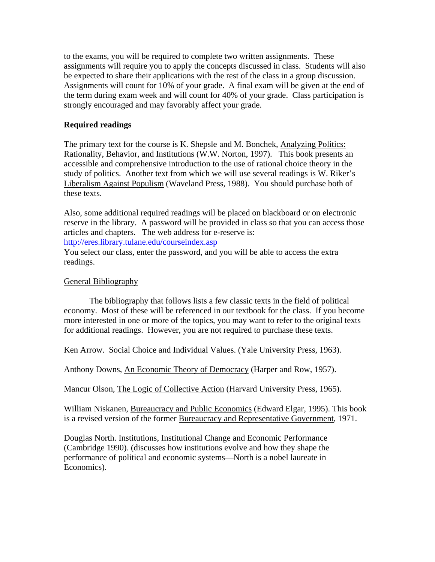to the exams, you will be required to complete two written assignments. These assignments will require you to apply the concepts discussed in class. Students will also be expected to share their applications with the rest of the class in a group discussion. Assignments will count for 10% of your grade. A final exam will be given at the end of the term during exam week and will count for 40% of your grade. Class participation is strongly encouraged and may favorably affect your grade.

## **Required readings**

The primary text for the course is K. Shepsle and M. Bonchek, Analyzing Politics: Rationality, Behavior, and Institutions (W.W. Norton, 1997). This book presents an accessible and comprehensive introduction to the use of rational choice theory in the study of politics. Another text from which we will use several readings is W. Riker's Liberalism Against Populism (Waveland Press, 1988). You should purchase both of these texts.

Also, some additional required readings will be placed on blackboard or on electronic reserve in the library. A password will be provided in class so that you can access those articles and chapters. The web address for e-reserve is: <http://eres.library.tulane.edu/courseindex.asp>

You select our class, enter the password, and you will be able to access the extra readings.

### General Bibliography

 The bibliography that follows lists a few classic texts in the field of political economy. Most of these will be referenced in our textbook for the class. If you become more interested in one or more of the topics, you may want to refer to the original texts for additional readings. However, you are not required to purchase these texts.

Ken Arrow. Social Choice and Individual Values. (Yale University Press, 1963).

Anthony Downs, An Economic Theory of Democracy (Harper and Row, 1957).

Mancur Olson, The Logic of Collective Action (Harvard University Press, 1965).

William Niskanen, Bureaucracy and Public Economics (Edward Elgar, 1995). This book is a revised version of the former Bureaucracy and Representative Government, 1971.

Douglas North. Institutions, Institutional Change and Economic Performance (Cambridge 1990). (discusses how institutions evolve and how they shape the performance of political and economic systems—North is a nobel laureate in Economics).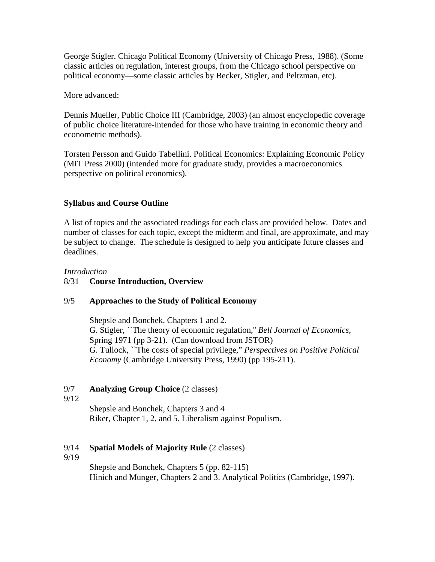George Stigler. Chicago Political Economy (University of Chicago Press, 1988). (Some classic articles on regulation, interest groups, from the Chicago school perspective on political economy—some classic articles by Becker, Stigler, and Peltzman, etc).

More advanced:

Dennis Mueller, Public Choice III (Cambridge, 2003) (an almost encyclopedic coverage of public choice literature-intended for those who have training in economic theory and econometric methods).

Torsten Persson and Guido Tabellini. Political Economics: Explaining Economic Policy (MIT Press 2000) (intended more for graduate study, provides a macroeconomics perspective on political economics).

# **Syllabus and Course Outline**

A list of topics and the associated readings for each class are provided below. Dates and number of classes for each topic, except the midterm and final, are approximate, and may be subject to change. The schedule is designed to help you anticipate future classes and deadlines.

# *Introduction*

# 8/31 **Course Introduction, Overview**

# 9/5 **Approaches to the Study of Political Economy**

Shepsle and Bonchek, Chapters 1 and 2. G. Stigler, ``The theory of economic regulation,'' *Bell Journal of Economics*, Spring 1971 (pp 3-21). (Can download from JSTOR) G. Tullock, ``The costs of special privilege," *Perspectives on Positive Political Economy* (Cambridge University Press, 1990) (pp 195-211).

# 9/7 **Analyzing Group Choice** (2 classes)

9/12

Shepsle and Bonchek, Chapters 3 and 4 Riker, Chapter 1, 2, and 5. Liberalism against Populism.

# 9/14 **Spatial Models of Majority Rule** (2 classes)

9/19

Shepsle and Bonchek, Chapters 5 (pp. 82-115) Hinich and Munger, Chapters 2 and 3. Analytical Politics (Cambridge, 1997).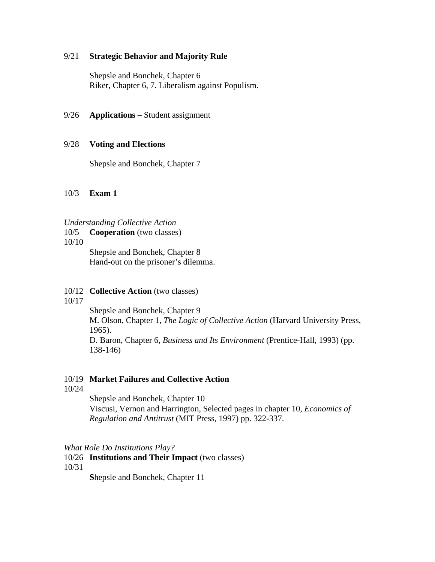#### 9/21 **Strategic Behavior and Majority Rule**

Shepsle and Bonchek, Chapter 6 Riker, Chapter 6, 7. Liberalism against Populism.

### 9/26 **Applications –** Student assignment

### 9/28 **Voting and Elections**

Shepsle and Bonchek, Chapter 7

### 10/3 **Exam 1**

### *Understanding Collective Action*

- 10/5 **Cooperation** (two classes)
- 10/10

Shepsle and Bonchek, Chapter 8 Hand-out on the prisoner's dilemma.

#### 10/12 **Collective Action** (two classes)

10/17

Shepsle and Bonchek, Chapter 9 M. Olson, Chapter 1, *The Logic of Collective Action* (Harvard University Press, 1965). D. Baron, Chapter 6, *Business and Its Environment* (Prentice-Hall, 1993) (pp.

138-146)

## 10/19 **Market Failures and Collective Action**

10/24

Shepsle and Bonchek, Chapter 10 Viscusi, Vernon and Harrington, Selected pages in chapter 10, *Economics of Regulation and Antitrust* (MIT Press, 1997) pp. 322-337.

### *What Role Do Institutions Play?*

# 10/26 **Institutions and Their Impact** (two classes)

10/31

 **S**hepsle and Bonchek, Chapter 11